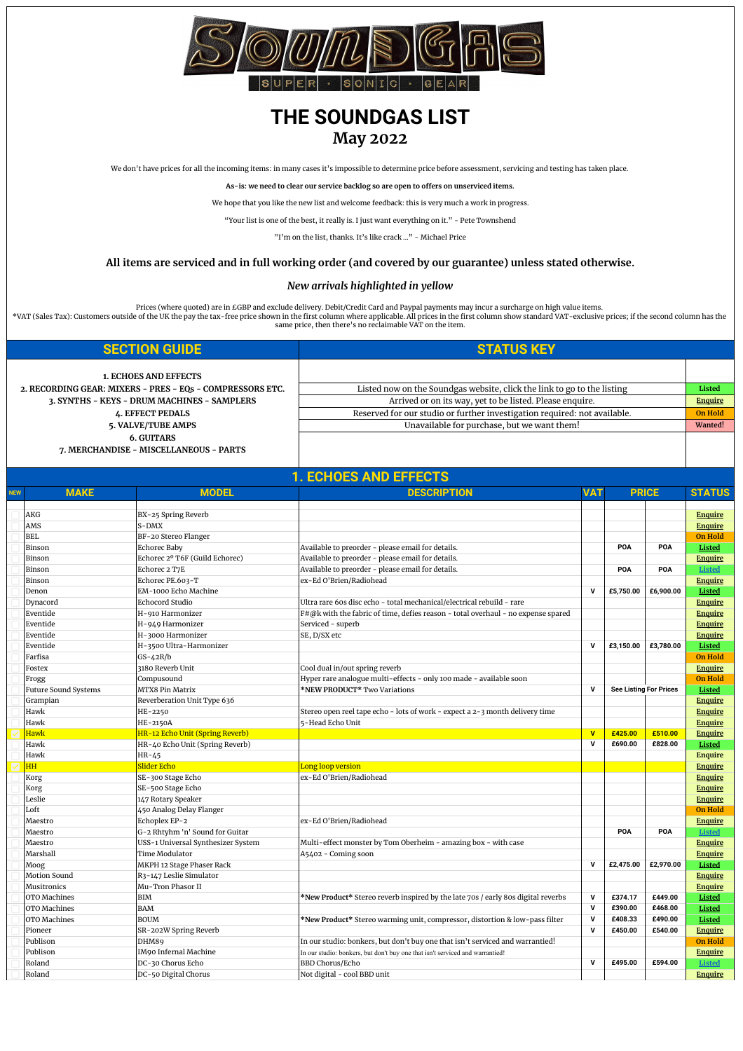

## **THE SOUNDGAS LIST May 2022**

We don't have prices for all the incoming items: in many cases it's impossible to determine price before assessment, servicing and testing has taken place.

**As-is: we need to clear our service backlog so are open to offers on unserviced items.**

We hope that you like the new list and welcome feedback: this is very much a work in progress.

"Your list is one of the best, it really is. I just want everything on it." - Pete Townshend

"I'm on the list, thanks. It's like crack …" - Michael Price

## **All items are serviced and in full working order (and covered by our guarantee) unless stated otherwise.**

## *[New arrivals highlighted in yellow](http://soundgas.com)*

Prices (where quoted) are in £GBP and exclude delivery. Debit/Credit Card and Paypal payments may incur a surcharge on high value items.<br>\*VAT (Sales Tax): Customers outside of the UK the pay the tax-free price shown in the

| <b>SECTION GUIDE</b>                                        | <b>STATUS KEY</b>                                                         |                |
|-------------------------------------------------------------|---------------------------------------------------------------------------|----------------|
| <b>1. ECHOES AND EFFECTS</b>                                |                                                                           |                |
| 2. RECORDING GEAR: MIXERS - PRES - EQs - COMPRESSORS ETC.   | Listed now on the Soundgas website, click the link to go to the listing   | Listed         |
| 3. SYNTHS - KEYS - DRUM MACHINES - SAMPLERS                 | Arrived or on its way, yet to be listed. Please enquire.                  | <b>Enquire</b> |
| <b><i>L.</i></b> EFFECT PEDALS                              | Reserved for our studio or further investigation required: not available. | On Hold        |
| 5. VALVE/TUBE AMPS                                          | Unavailable for purchase, but we want them!                               | Wanted!        |
| <b>6. GUITARS</b><br>7. MERCHANDISE - MISCELLANEOUS - PARTS |                                                                           |                |

| <b>NEW</b> | <b>MAKE</b>                 | <b>MODEL</b>                               | <b>DESCRIPTION</b>                                                                                      | VAT                     |                               | <b>PRICE</b> | <b>STATUS</b>                   |
|------------|-----------------------------|--------------------------------------------|---------------------------------------------------------------------------------------------------------|-------------------------|-------------------------------|--------------|---------------------------------|
|            |                             |                                            |                                                                                                         |                         |                               |              |                                 |
|            | AKG                         | BX-25 Spring Reverb                        |                                                                                                         |                         |                               |              | <b>Enquire</b>                  |
|            | AMS                         | S-DMX                                      |                                                                                                         |                         |                               |              | <b>Enquire</b>                  |
|            | <b>BEL</b>                  | BF-20 Stereo Flanger                       |                                                                                                         |                         |                               |              | <b>On Hold</b>                  |
|            | Binson                      | Echorec Baby                               | Available to preorder - please email for details.                                                       |                         | POA                           | POA          | <b>Listed</b>                   |
|            | Binson                      | Echorec 2º T6F (Guild Echorec)             | Available to preorder - please email for details.                                                       |                         |                               |              | <b>Enquire</b>                  |
|            | Binson                      | Echorec 2 T7E                              | Available to preorder - please email for details.                                                       |                         | POA                           | POA          | <b>Listed</b>                   |
|            | Binson                      | Echorec PE.603-T                           | ex-Ed O'Brien/Radiohead                                                                                 |                         |                               |              | <b>Enquire</b>                  |
|            | Denon                       | EM-1000 Echo Machine                       |                                                                                                         | V                       | £5,750.00                     | £6,900.00    | Listed                          |
|            | Dynacord                    | <b>Echocord Studio</b>                     | Ultra rare 60s disc echo - total mechanical/electrical rebuild - rare                                   |                         |                               |              | <b>Enquire</b>                  |
|            | Eventide                    | H-910 Harmonizer                           | F#@k with the fabric of time, defies reason - total overhaul - no expense spared                        |                         |                               |              | <b>Enquire</b>                  |
|            | Eventide                    | H-949 Harmonizer                           | Serviced - superb                                                                                       |                         |                               |              | <b>Enquire</b>                  |
|            | Eventide                    | H-3000 Harmonizer                          | SE, D/SX etc                                                                                            |                         |                               |              | <b>Enquire</b>                  |
|            | Eventide                    | H-3500 Ultra-Harmonizer                    |                                                                                                         | $\mathsf{v}$            | £3,150.00                     | £3,780.00    | Listed                          |
|            | Farfisa                     | $GS-42R/b$                                 |                                                                                                         |                         |                               |              | <b>On Hold</b>                  |
|            | Fostex                      | 3180 Reverb Unit                           | Cool dual in/out spring reverb                                                                          |                         |                               |              | <b>Enquire</b>                  |
|            | Frogg                       | Compusound                                 | Hyper rare analogue multi-effects - only 100 made - available soon                                      |                         |                               |              | <b>On Hold</b>                  |
|            | <b>Future Sound Systems</b> | MTX8 Pin Matrix                            | *NEW PRODUCT* Two Variations                                                                            | V                       | <b>See Listing For Prices</b> |              | Listed                          |
|            | Grampian                    | Reverberation Unit Type 636                |                                                                                                         |                         |                               |              | <b>Enquire</b>                  |
|            | Hawk                        | HE-2250                                    | Stereo open reel tape echo - lots of work - expect a 2-3 month delivery time                            |                         |                               |              | <b>Enquire</b>                  |
|            | Hawk                        | HE-2150A                                   | 5-Head Echo Unit                                                                                        |                         |                               |              | <b>Enquire</b>                  |
|            | <b>Hawk</b>                 | HR-12 Echo Unit (Spring Reverb)            |                                                                                                         | $\overline{\mathbf{v}}$ | £425.00                       | £510.00      | <b>Enquire</b>                  |
|            | Hawk                        | HR-40 Echo Unit (Spring Reverb)            |                                                                                                         | $\mathsf{v}$            | £690.00                       | £828.00      | Listed                          |
|            | Hawk                        | $HR-45$                                    |                                                                                                         |                         |                               |              | <b>Enquire</b>                  |
|            | HH                          | Slider Echo                                | Long loop version                                                                                       |                         |                               |              | <b>Enquire</b>                  |
|            | Korg                        | SE-300 Stage Echo                          | ex-Ed O'Brien/Radiohead                                                                                 |                         |                               |              | <b>Enquire</b>                  |
|            | Korg                        | SE-500 Stage Echo                          |                                                                                                         |                         |                               |              | <b>Enquire</b>                  |
|            | Leslie                      | 147 Rotary Speaker                         |                                                                                                         |                         |                               |              | <b>Enquire</b>                  |
|            | Loft                        | 450 Analog Delay Flanger                   |                                                                                                         |                         |                               |              | <b>On Hold</b>                  |
|            | Maestro                     | Echoplex EP-2                              | ex-Ed O'Brien/Radiohead                                                                                 |                         |                               |              | <b>Enquire</b>                  |
|            | Maestro                     | G-2 Rhtyhm 'n' Sound for Guitar            |                                                                                                         |                         | POA                           | POA          | <b>Listed</b>                   |
|            | Maestro                     | USS-1 Universal Synthesizer System         | Multi-effect monster by Tom Oberheim - amazing box - with case                                          |                         |                               |              | <b>Enquire</b>                  |
|            | Marshall                    | Time Modulator                             | A5402 - Coming soon                                                                                     |                         |                               |              | <b>Enquire</b>                  |
|            | Moog                        | MKPH 12 Stage Phaser Rack                  |                                                                                                         | $\mathbf v$             | £2,475.00                     | £2,970.00    | Listed                          |
|            | Motion Sound                | R3-147 Leslie Simulator                    |                                                                                                         |                         |                               |              | <b>Enquire</b>                  |
|            | <b>Musitronics</b>          | Mu-Tron Phasor II                          |                                                                                                         |                         |                               |              | <b>Enquire</b>                  |
|            | OTO Machines                | <b>BIM</b>                                 | *New Product* Stereo reverb inspired by the late 70s / early 80s digital reverbs                        | $\mathbf v$             | £374.17                       | £449.00      | <b>Listed</b>                   |
|            | OTO Machines                | <b>BAM</b>                                 |                                                                                                         | $\mathsf{v}$            | £390.00                       | £468.00      | Listed                          |
|            | OTO Machines                | <b>BOUM</b>                                | *New Product* Stereo warming unit, compressor, distortion & low-pass filter                             | V                       | £408.33                       | £490.00      | Listed                          |
|            | Pioneer                     | SR-202W Spring Reverb                      |                                                                                                         | V                       | £450.00                       | £540.00      | <b>Enquire</b>                  |
|            | Publison                    | DHM89                                      | In our studio: bonkers, but don't buy one that isn't serviced and warrantied!                           |                         |                               |              | <b>On Hold</b>                  |
|            |                             |                                            |                                                                                                         |                         |                               |              |                                 |
|            |                             |                                            |                                                                                                         |                         |                               |              |                                 |
|            | Publison<br>Roland          | IM90 Infernal Machine<br>DC-30 Chorus Echo | In our studio: bonkers, but don't buy one that isn't serviced and warrantied!<br><b>BBD Chorus/Echo</b> | V                       | £495.00                       | £594.00      | <b>Enquire</b><br><b>Listed</b> |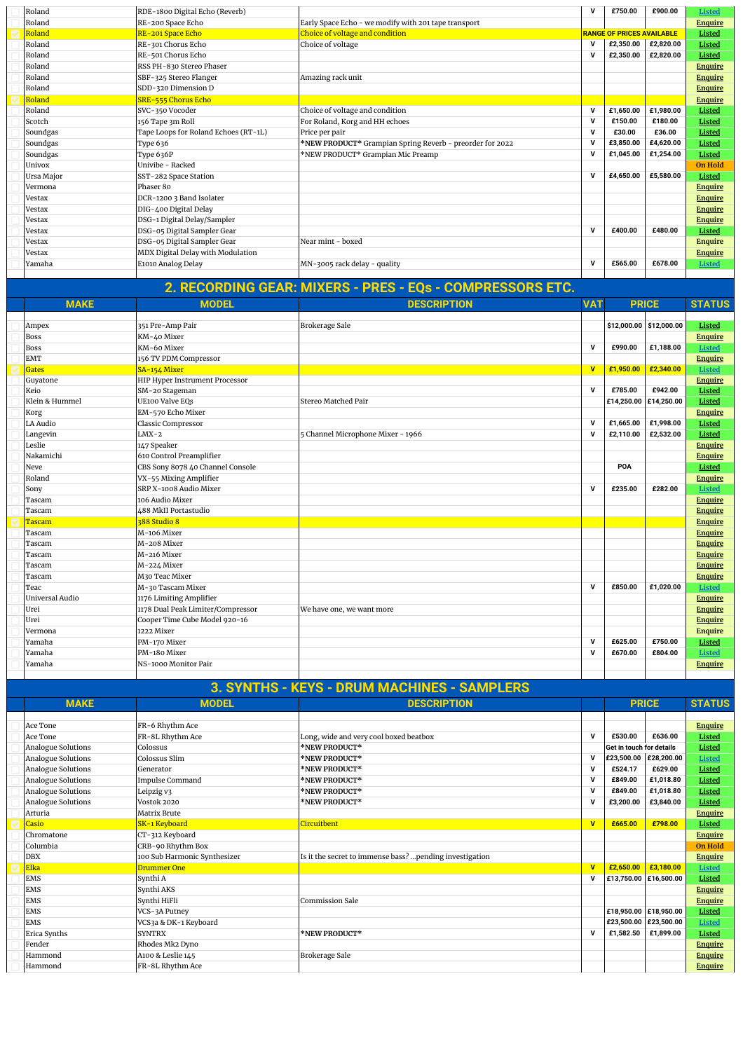| Roland     | RDE-1800 Digital Echo (Reverb)       |                                                          | v           | £750.00                          | £900.00   | <b>Listed</b>  |
|------------|--------------------------------------|----------------------------------------------------------|-------------|----------------------------------|-----------|----------------|
| Roland     | RE-200 Space Echo                    | Early Space Echo - we modify with 201 tape transport     |             |                                  |           | <b>Enquire</b> |
| Roland     | RE-201 Space Echo                    | Choice of voltage and condition                          |             | <b>RANGE OF PRICES AVAILABLE</b> |           | Listed         |
| Roland     | RE-301 Chorus Echo                   | Choice of voltage                                        | $\mathbf v$ | £2,350.00                        | £2,820.00 | Listed         |
| Roland     | RE-501 Chorus Echo                   |                                                          | $\mathbf v$ | £2,350.00                        | £2,820.00 | Listed         |
| Roland     | RSS PH-830 Stereo Phaser             |                                                          |             |                                  |           | <b>Enquire</b> |
| Roland     | SBF-325 Stereo Flanger               | Amazing rack unit                                        |             |                                  |           | <b>Enquire</b> |
| Roland     | SDD-320 Dimension D                  |                                                          |             |                                  |           | <b>Enquire</b> |
| Roland     | SRE-555 Chorus Echo                  |                                                          |             |                                  |           | <b>Enquire</b> |
| Roland     | SVC-350 Vocoder                      | Choice of voltage and condition                          | v           | £1,650.00                        | £1,980.00 | Listed         |
| Scotch     | 156 Tape 3m Roll                     | For Roland, Korg and HH echoes                           | v           | £150.00                          | £180.00   | Listed         |
| Soundgas   | Tape Loops for Roland Echoes (RT-1L) | Price per pair                                           | $\mathbf v$ | £30.00                           | £36.00    | Listed         |
| Soundgas   | Type 636                             | *NEW PRODUCT* Grampian Spring Reverb - preorder for 2022 | v           | £3,850.00                        | £4,620.00 | Listed         |
| Soundgas   | Type 636P                            | *NEW PRODUCT* Grampian Mic Preamp                        | $\mathbf v$ | £1.045.00                        | £1,254.00 | Listed         |
| Univox     | Univibe - Racked                     |                                                          |             |                                  |           | <b>On Hold</b> |
| Ursa Major | SST-282 Space Station                |                                                          | $\mathbf v$ | £4,650.00                        | £5,580.00 | Listed         |
| Vermona    | Phaser 80                            |                                                          |             |                                  |           | <b>Enquire</b> |
| Vestax     | DCR-1200 3 Band Isolater             |                                                          |             |                                  |           | <b>Enquire</b> |
| Vestax     | DIG-400 Digital Delay                |                                                          |             |                                  |           | <b>Enquire</b> |
| Vestax     | DSG-1 Digital Delay/Sampler          |                                                          |             |                                  |           | <b>Enquire</b> |
| Vestax     | DSG-05 Digital Sampler Gear          |                                                          | $\mathbf v$ | £400.00                          | £480.00   | Listed         |
| Vestax     | DSG-05 Digital Sampler Gear          | Near mint - boxed                                        |             |                                  |           | <b>Enquire</b> |
| Vestax     | MDX Digital Delay with Modulation    |                                                          |             |                                  |           | <b>Enquire</b> |
| Yamaha     | E1010 Analog Delay                   | MN-3005 rack delay - quality                             | v           | £565.00                          | £678.00   | <b>Listed</b>  |
|            |                                      |                                                          |             |                                  |           |                |

| <b>MAKE</b>     | <b>MODEL</b>                          | <b>VAT</b><br><b>PRICE</b>        |              |                       | <b>DESCRIPTION</b>      |                |  |  | <b>STATUS</b> |
|-----------------|---------------------------------------|-----------------------------------|--------------|-----------------------|-------------------------|----------------|--|--|---------------|
|                 |                                       |                                   |              |                       |                         |                |  |  |               |
| Ampex           | 351 Pre-Amp Pair                      | <b>Brokerage Sale</b>             |              |                       | \$12,000.00 \$12,000.00 | Listed         |  |  |               |
| <b>Boss</b>     | KM-40 Mixer                           |                                   |              |                       |                         | <b>Enquire</b> |  |  |               |
| <b>Boss</b>     | KM-60 Mixer                           |                                   | $\mathbf v$  | £990.00               | £1,188.00               | Listed         |  |  |               |
| <b>EMT</b>      | 156 TV PDM Compressor                 |                                   |              |                       |                         | <b>Enquire</b> |  |  |               |
| <b>Gates</b>    | SA-154 Mixer                          |                                   | $\mathbf{v}$ | £1,950.00             | £2,340.00               | <b>Listed</b>  |  |  |               |
| Guyatone        | <b>HIP Hyper Instrument Processor</b> |                                   |              |                       |                         | <b>Enquire</b> |  |  |               |
| Keio            | SM-20 Stageman                        |                                   | $\mathbf v$  | £785.00               | £942.00                 | Listed         |  |  |               |
| Klein & Hummel  | <b>UE100 Valve EQs</b>                | Stereo Matched Pair               |              | £14,250.00 £14,250.00 |                         | Listed         |  |  |               |
| Korg            | EM-570 Echo Mixer                     |                                   |              |                       |                         | <b>Enquire</b> |  |  |               |
| LA Audio        | Classic Compressor                    |                                   | $\mathbf v$  | £1,665.00             | £1,998.00               | Listed         |  |  |               |
| Langevin        | $LMX-2$                               | 5 Channel Microphone Mixer - 1966 | $\mathbf v$  | £2,110.00             | £2,532.00               | Listed         |  |  |               |
| Leslie          | 147 Speaker                           |                                   |              |                       |                         | <b>Enquire</b> |  |  |               |
| Nakamichi       | 610 Control Preamplifier              |                                   |              |                       |                         | <b>Enquire</b> |  |  |               |
| Neve            | CBS Sony 8078 40 Channel Console      |                                   |              | POA                   |                         | Listed         |  |  |               |
| Roland          | VX-55 Mixing Amplifier                |                                   |              |                       |                         | <b>Enquire</b> |  |  |               |
| Sony            | SRP X-1008 Audio Mixer                |                                   | $\mathbf v$  | £235.00               | £282.00                 | Listed         |  |  |               |
| Tascam          | 106 Audio Mixer                       |                                   |              |                       |                         | <b>Enquire</b> |  |  |               |
| Tascam          | 488 MkII Portastudio                  |                                   |              |                       |                         | <b>Enquire</b> |  |  |               |
| Tascam          | 388 Studio 8                          |                                   |              |                       |                         | <b>Enquire</b> |  |  |               |
| Tascam          | M-106 Mixer                           |                                   |              |                       |                         | <b>Enquire</b> |  |  |               |
| Tascam          | M-208 Mixer                           |                                   |              |                       |                         | Enquire        |  |  |               |
| Tascam          | M-216 Mixer                           |                                   |              |                       |                         | <b>Enquire</b> |  |  |               |
| Tascam          | M-224 Mixer                           |                                   |              |                       |                         | <b>Enquire</b> |  |  |               |
| Tascam          | M30 Teac Mixer                        |                                   |              |                       |                         | Enquire        |  |  |               |
| Teac            | M-30 Tascam Mixer                     |                                   | $\mathbf v$  | £850.00               | £1,020.00               | <b>Listed</b>  |  |  |               |
| Universal Audio | 1176 Limiting Amplifier               |                                   |              |                       |                         | <b>Enquire</b> |  |  |               |
| Urei            | 1178 Dual Peak Limiter/Compressor     | We have one, we want more         |              |                       |                         | <b>Enquire</b> |  |  |               |
| Urei            | Cooper Time Cube Model 920-16         |                                   |              |                       |                         | <b>Enquire</b> |  |  |               |
| Vermona         | 1222 Mixer                            |                                   |              |                       |                         | <b>Enquire</b> |  |  |               |
| Yamaha          | PM-170 Mixer                          |                                   | $\mathbf v$  | £625.00               | £750.00                 | Listed         |  |  |               |
| Yamaha          | PM-180 Mixer                          |                                   | $\mathbf v$  | £670.00               | £804.00                 | Listed         |  |  |               |
| Yamaha          | NS-1000 Monitor Pair                  |                                   |              |                       |                         | <b>Enquire</b> |  |  |               |
|                 |                                       |                                   |              |                       |                         |                |  |  |               |

## **3. SYNTHS - KEYS - DRUM MACHINES - SAMPLERS**

| <b>MAKE</b>        | <b>MODEL</b>                 | <b>DESCRIPTION</b>                                      |                         | <b>PRICE</b>             |           | <b>STATUS</b>  |
|--------------------|------------------------------|---------------------------------------------------------|-------------------------|--------------------------|-----------|----------------|
|                    |                              |                                                         |                         |                          |           |                |
| Ace Tone           | FR-6 Rhythm Ace              |                                                         |                         |                          |           | <b>Enquire</b> |
| Ace Tone           | FR-8L Rhythm Ace             | Long, wide and very cool boxed beatbox                  | $\mathbf{v}$            | £530.00                  | £636.00   | Listed         |
| Analogue Solutions | Colossus                     | *NEW PRODUCT*                                           |                         | Get in touch for details |           | Listed         |
| Analogue Solutions | Colossus Slim                | *NEW PRODUCT*                                           | v                       | £23,500.00 £28,200.00    |           | <b>Listed</b>  |
| Analogue Solutions | Generator                    | *NEW PRODUCT*                                           | v                       | £524.17                  | £629.00   | Listed         |
| Analogue Solutions | <b>Impulse Command</b>       | *NEW PRODUCT*                                           | v                       | £849.00                  | £1,018.80 | Listed         |
| Analogue Solutions | Leipzig v3                   | *NEW PRODUCT*                                           | v                       | £849.00                  | £1,018.80 | Listed         |
| Analogue Solutions | Vostok 2020                  | *NEW PRODUCT*                                           | v                       | £3,200.00                | £3,840.00 | Listed         |
| Arturia            | Matrix Brute                 |                                                         |                         |                          |           | <b>Enquire</b> |
| Casio              | SK-1 Keyboard                | Circuitbent                                             | $\mathbf{v}$            | £665.00                  | £798.00   | Listed         |
| Chromatone         | CT-312 Keyboard              |                                                         |                         |                          |           | <b>Enquire</b> |
| Columbia           | CRB-90 Rhythm Box            |                                                         |                         |                          |           | <b>On Hold</b> |
| <b>DBX</b>         | 100 Sub Harmonic Synthesizer | Is it the secret to immense bass? pending investigation |                         |                          |           | <b>Enquire</b> |
| Elka               | Drummer One                  |                                                         | $\overline{\mathbf{v}}$ | £2,650.00                | £3,180.00 | <b>Listed</b>  |
| <b>EMS</b>         | Synthi A                     |                                                         | $\mathbf{v}$            | £13,750.00 £16,500.00    |           | Listed         |
| <b>EMS</b>         | Synthi AKS                   |                                                         |                         |                          |           | <b>Enquire</b> |
| <b>EMS</b>         | Synthi HiFli                 | Commission Sale                                         |                         |                          |           | <b>Enquire</b> |
| <b>EMS</b>         | VCS-3A Putney                |                                                         |                         | £18,950.00 £18,950.00    |           | Listed         |
| <b>EMS</b>         | VCS3a & DK-1 Keyboard        |                                                         |                         | £23,500.00 £23,500.00    |           | <b>Listed</b>  |
| Erica Synths       | <b>SYNTRX</b>                | *NEW PRODUCT*                                           | v                       | £1,582.50                | £1,899.00 | Listed         |
| Fender             | Rhodes Mk2 Dyno              |                                                         |                         |                          |           | <b>Enquire</b> |
| Hammond            | A100 & Leslie 145            | <b>Brokerage Sale</b>                                   |                         |                          |           | <b>Enquire</b> |
| Hammond            | FR-8L Rhythm Ace             |                                                         |                         |                          |           | <b>Enquire</b> |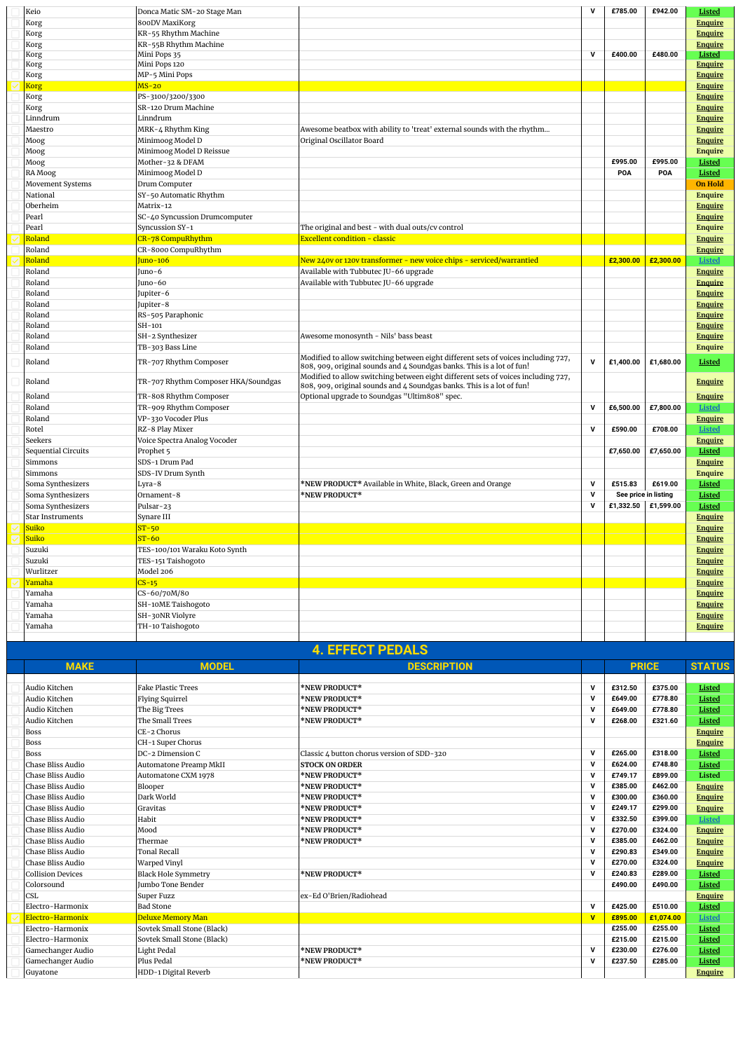| Keio                    | Donca Matic SM-20 Stage Man         |                                                                                                                                                            | v                       | £785.00              | £942.00   | Listed         |
|-------------------------|-------------------------------------|------------------------------------------------------------------------------------------------------------------------------------------------------------|-------------------------|----------------------|-----------|----------------|
| Korg                    | 800DV MaxiKorg                      |                                                                                                                                                            |                         |                      |           | <b>Enquire</b> |
| Korg                    | KR-55 Rhythm Machine                |                                                                                                                                                            |                         |                      |           | <b>Enquire</b> |
| Korg                    | KR-55B Rhythm Machine               |                                                                                                                                                            |                         |                      |           | <b>Enquire</b> |
| Korg                    | Mini Pops 35                        |                                                                                                                                                            | $\overline{\mathsf{v}}$ | £400.00              | £480.00   | Listed         |
| Korg                    | Mini Pops 120                       |                                                                                                                                                            |                         |                      |           | <b>Enquire</b> |
| Korg                    | MP-5 Mini Pops                      |                                                                                                                                                            |                         |                      |           | <b>Enquire</b> |
| <b>Korg</b>             | $MS-20$                             |                                                                                                                                                            |                         |                      |           | <b>Enquire</b> |
| Korg                    | PS-3100/3200/3300                   |                                                                                                                                                            |                         |                      |           | <b>Enquire</b> |
| Korg                    | SR-120 Drum Machine                 |                                                                                                                                                            |                         |                      |           | <b>Enquire</b> |
| Linndrum                | Linndrum                            |                                                                                                                                                            |                         |                      |           | <b>Enquire</b> |
| Maestro                 | MRK-4 Rhythm King                   | Awesome beatbox with ability to 'treat' external sounds with the rhythm                                                                                    |                         |                      |           | <b>Enquire</b> |
| Moog                    | Minimoog Model D                    | Original Oscillator Board                                                                                                                                  |                         |                      |           | <b>Enquire</b> |
| Moog                    | Minimoog Model D Reissue            |                                                                                                                                                            |                         |                      |           | <b>Enquire</b> |
| Moog                    | Mother-32 & DFAM                    |                                                                                                                                                            |                         | £995.00              | £995.00   | Listed         |
| RA Moog                 | Minimoog Model D                    |                                                                                                                                                            |                         | POA                  | POA       | Listed         |
| Movement Systems        | Drum Computer                       |                                                                                                                                                            |                         |                      |           | <b>On Hold</b> |
| National                | SY-50 Automatic Rhythm              |                                                                                                                                                            |                         |                      |           | <b>Enquire</b> |
| Oberheim                | Matrix-12                           |                                                                                                                                                            |                         |                      |           | <b>Enquire</b> |
| Pearl                   | SC-40 Syncussion Drumcomputer       |                                                                                                                                                            |                         |                      |           | <b>Enquire</b> |
| Pearl                   | Syncussion SY-1                     | The original and best - with dual outs/cv control                                                                                                          |                         |                      |           | Enquire        |
| Roland                  | CR-78 CompuRhythm                   | <b>Excellent condition - classic</b>                                                                                                                       |                         |                      |           | <b>Enquire</b> |
| Roland                  | CR-8000 CompuRhythm                 |                                                                                                                                                            |                         |                      |           | <b>Enquire</b> |
| Roland                  | Juno-106                            | New 240v or 120v transformer - new voice chips - serviced/warrantied                                                                                       |                         | £2,300.00            | £2,300.00 | <b>Listed</b>  |
| Roland                  | Juno-6                              | Available with Tubbutec JU-66 upgrade                                                                                                                      |                         |                      |           |                |
| Roland                  | Juno-60                             | Available with Tubbutec JU-66 upgrade                                                                                                                      |                         |                      |           | <b>Enquire</b> |
|                         |                                     |                                                                                                                                                            |                         |                      |           | <b>Enquire</b> |
| Roland                  | Jupiter-6                           |                                                                                                                                                            |                         |                      |           | <b>Enquire</b> |
| Roland                  | Jupiter-8                           |                                                                                                                                                            |                         |                      |           | <b>Enquire</b> |
| Roland                  | RS-505 Paraphonic                   |                                                                                                                                                            |                         |                      |           | Enquire        |
| Roland                  | SH-101                              |                                                                                                                                                            |                         |                      |           | <b>Enquire</b> |
| Roland                  | SH-2 Synthesizer                    | Awesome monosynth - Nils' bass beast                                                                                                                       |                         |                      |           | <b>Enquire</b> |
| Roland                  | TB-303 Bass Line                    |                                                                                                                                                            |                         |                      |           | Enquire        |
| Roland                  | TR-707 Rhythm Composer              | Modified to allow switching between eight different sets of voices including 727,<br>808, 909, original sounds and 4 Soundgas banks. This is a lot of fun! | $\mathbf v$             | £1,400.00            | £1,680.00 | Listed         |
| Roland                  | TR-707 Rhythm Composer HKA/Soundgas | Modified to allow switching between eight different sets of voices including 727,<br>808, 909, original sounds and 4 Soundgas banks. This is a lot of fun! |                         |                      |           | <b>Enquire</b> |
| Roland                  | TR-808 Rhythm Composer              | Optional upgrade to Soundgas "Ultim808" spec.                                                                                                              |                         |                      |           | <b>Enquire</b> |
| Roland                  | TR-909 Rhythm Composer              |                                                                                                                                                            | $\mathbf v$             | £6.500.00            | £7,800.00 | <b>Listed</b>  |
| Roland                  | VP-330 Vocoder Plus                 |                                                                                                                                                            |                         |                      |           | <b>Enquire</b> |
| Rotel                   | RZ-8 Play Mixer                     |                                                                                                                                                            | $\mathbf{v}$            | £590.00              | £708.00   | <b>Listed</b>  |
| Seekers                 | Voice Spectra Analog Vocoder        |                                                                                                                                                            |                         |                      |           | <b>Enquire</b> |
| Sequential Circuits     | Prophet <sub>5</sub>                |                                                                                                                                                            |                         | £7,650.00            | £7,650.00 | Listed         |
| Simmons                 | SDS-1 Drum Pad                      |                                                                                                                                                            |                         |                      |           | <b>Enquire</b> |
| Simmons                 | SDS-IV Drum Synth                   |                                                                                                                                                            |                         |                      |           | <b>Enquire</b> |
| Soma Synthesizers       | Lyra-8                              | *NEW PRODUCT* Available in White, Black, Green and Orange                                                                                                  | $\mathsf{v}$            | £515.83              | £619.00   | Listed         |
| Soma Synthesizers       | Ornament-8                          | *NEW PRODUCT*                                                                                                                                              | $\mathbf v$             | See price in listing |           | Listed         |
| Soma Synthesizers       | Pulsar-23                           |                                                                                                                                                            | v                       | £1,332.50            | £1,599.00 | Listed         |
| <b>Star Instruments</b> | Synare III                          |                                                                                                                                                            |                         |                      |           | <b>Enquire</b> |
| Suiko                   | $ST-50$                             |                                                                                                                                                            |                         |                      |           | <b>Enquire</b> |
| Suiko                   | $ST-60$                             |                                                                                                                                                            |                         |                      |           | <b>Enquire</b> |
| Suzuki                  | TES-100/101 Waraku Koto Synth       |                                                                                                                                                            |                         |                      |           | <b>Enquire</b> |
| Suzuki                  | TES-151 Taishogoto                  |                                                                                                                                                            |                         |                      |           | <b>Enquire</b> |
| Wurlitzer               | Model 206                           |                                                                                                                                                            |                         |                      |           | <b>Enquire</b> |
| <u>Yamaha</u>           | $CS-15$                             |                                                                                                                                                            |                         |                      |           | <b>Enquire</b> |
| Yamaha                  | CS-60/70M/80                        |                                                                                                                                                            |                         |                      |           | <b>Enquire</b> |
| Yamaha                  | SH-10ME Taishogoto                  |                                                                                                                                                            |                         |                      |           | <b>Enquire</b> |
| Yamaha                  | SH-30NR Violyre                     |                                                                                                                                                            |                         |                      |           | <b>Enquire</b> |
| Yamaha                  | TH-10 Taishogoto                    |                                                                                                                                                            |                         |                      |           | <b>Enquire</b> |
|                         |                                     |                                                                                                                                                            |                         |                      |           |                |

| <b>4. EFFECT PEDALS</b>  |                            |                                            |                |              |           |                |  |  |
|--------------------------|----------------------------|--------------------------------------------|----------------|--------------|-----------|----------------|--|--|
| <b>MAKE</b>              | <b>MODEL</b>               | <b>DESCRIPTION</b>                         |                | <b>PRICE</b> |           | <b>STATUS</b>  |  |  |
|                          |                            |                                            |                |              |           |                |  |  |
| Audio Kitchen            | <b>Fake Plastic Trees</b>  | *NEW PRODUCT*                              | $\mathbf v$    | £312.50      | £375.00   | Listed         |  |  |
| Audio Kitchen            | <b>Flying Squirrel</b>     | *NEW PRODUCT*                              | $\mathbf v$    | £649.00      | £778.80   | Listed         |  |  |
| Audio Kitchen            | The Big Trees              | *NEW PRODUCT*                              | $\mathbf v$    | £649.00      | £778.80   | Listed         |  |  |
| Audio Kitchen            | The Small Trees            | *NEW PRODUCT*                              | $\mathbf v$    | £268.00      | £321.60   | Listed         |  |  |
| <b>Boss</b>              | CE-2 Chorus                |                                            |                |              |           | <b>Enquire</b> |  |  |
| <b>Boss</b>              | CH-1 Super Chorus          |                                            |                |              |           | <b>Enquire</b> |  |  |
| <b>Boss</b>              | DC-2 Dimension C           | Classic 4 button chorus version of SDD-320 | $\mathbf v$    | £265.00      | £318.00   | <b>Listed</b>  |  |  |
| Chase Bliss Audio        | Automatone Preamp MkII     | <b>STOCK ON ORDER</b>                      | $\mathbf v$    | £624.00      | £748.80   | Listed         |  |  |
| Chase Bliss Audio        | Automatone CXM 1978        | *NEW PRODUCT*                              | $\mathsf{v}$   | £749.17      | £899.00   | Listed         |  |  |
| Chase Bliss Audio        | Blooper                    | *NEW PRODUCT*                              | $\mathbf v$    | £385.00      | £462.00   | <b>Enquire</b> |  |  |
| Chase Bliss Audio        | Dark World                 | *NEW PRODUCT*                              | $\mathbf v$    | £300.00      | £360.00   | <b>Enquire</b> |  |  |
| Chase Bliss Audio        | Gravitas                   | *NEW PRODUCT*                              | $\mathbf v$    | £249.17      | £299.00   | <b>Enquire</b> |  |  |
| Chase Bliss Audio        | Habit                      | *NEW PRODUCT*                              | $\mathbf v$    | £332.50      | £399.00   | <b>Listed</b>  |  |  |
| Chase Bliss Audio        | Mood                       | *NEW PRODUCT*                              | $\mathbf v$    | £270.00      | £324.00   | <b>Enquire</b> |  |  |
| Chase Bliss Audio        | Thermae                    | *NEW PRODUCT*                              | $\mathbf v$    | £385.00      | £462.00   | <b>Enquire</b> |  |  |
| Chase Bliss Audio        | <b>Tonal Recall</b>        |                                            | $\mathbf v$    | £290.83      | £349.00   | <b>Enquire</b> |  |  |
| Chase Bliss Audio        | Warped Vinyl               |                                            | $\mathbf v$    | £270.00      | £324.00   | <b>Enquire</b> |  |  |
| <b>Collision Devices</b> | <b>Black Hole Symmetry</b> | *NEW PRODUCT*                              | $\mathbf v$    | £240.83      | £289.00   | Listed         |  |  |
| Colorsound               | Jumbo Tone Bender          |                                            |                | £490.00      | £490.00   | Listed         |  |  |
| <b>CSL</b>               | Super Fuzz                 | ex-Ed O'Brien/Radiohead                    |                |              |           | <b>Enquire</b> |  |  |
| Electro-Harmonix         | <b>Bad Stone</b>           |                                            | $\mathbf v$    | £425.00      | £510.00   | Listed         |  |  |
| Electro-Harmonix         | Deluxe Memory Man          |                                            | $\overline{V}$ | £895.00      | £1,074.00 | <b>Listed</b>  |  |  |
| Electro-Harmonix         | Sovtek Small Stone (Black) |                                            |                | £255.00      | £255.00   | Listed         |  |  |
| Electro-Harmonix         | Sovtek Small Stone (Black) |                                            |                | £215.00      | £215.00   | Listed         |  |  |
| Gamechanger Audio        | Light Pedal                | *NEW PRODUCT*                              | $\mathbf v$    | £230.00      | £276.00   | Listed         |  |  |
| Gamechanger Audio        | Plus Pedal                 | *NEW PRODUCT*                              | $\mathbf v$    | £237.50      | £285.00   | Listed         |  |  |
| Guyatone                 | HDD-1 Digital Reverb       |                                            |                |              |           | <b>Enquire</b> |  |  |